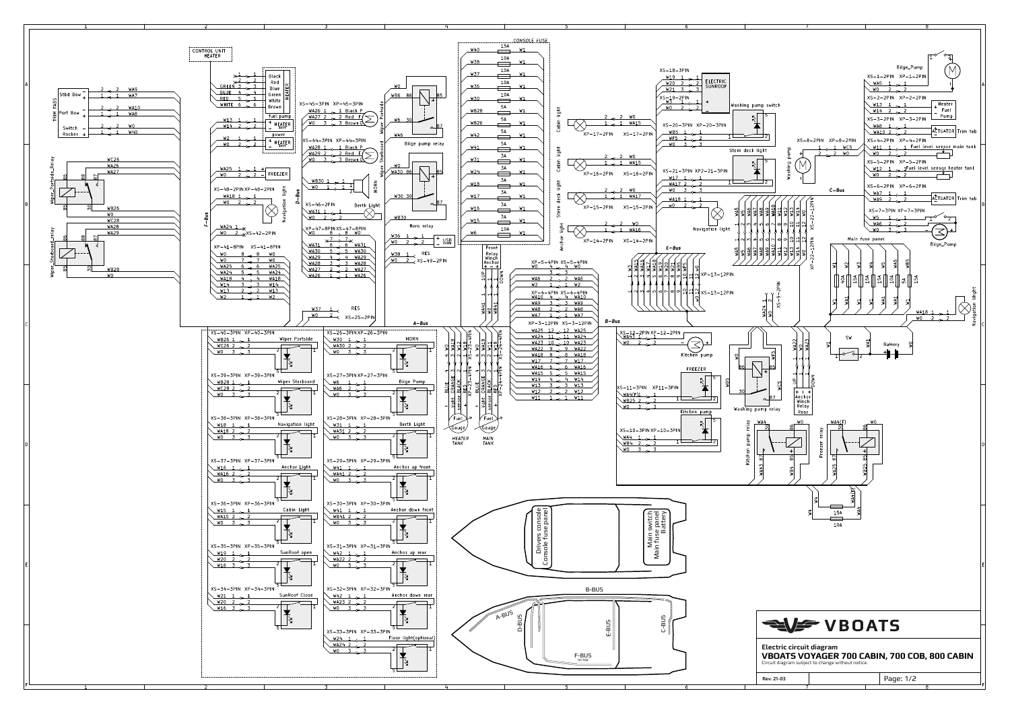